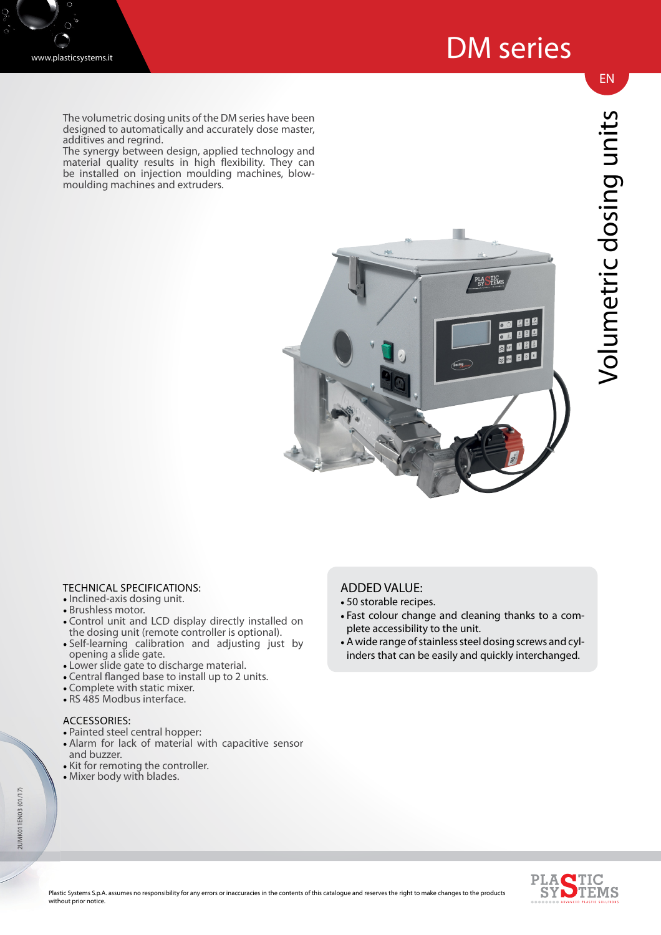

The volumetric dosing units of the DM series have been designed to automatically and accurately dose master, additives and regrind.

The synergy between design, applied technology and material quality results in high flexibility. They can be installed on injection moulding machines, blowmoulding machines and extruders.



# Volumetric dosing units Volumetric dosing units

EN

## TECHNICAL SPECIFICATIONS:

- Inclined-axis dosing unit.
- Brushless motor.
- Control unit and LCD display directly installed on the dosing unit (remote controller is optional).
- Self-learning calibration and adjusting just by opening a slide gate. • Lower slide gate to discharge material.
- 
- Central flanged base to install up to 2 units.
- Complete with static mixer. • RS 485 Modbus interface.
- 

### ACCESSORIES:

- Painted steel central hopper:
- Alarm for lack of material with capacitive sensor and buzzer.
- Kit for remoting the controller.
- Mixer body with blades.

# ADDED VALUE:

- 50 storable recipes.
- Fast colour change and cleaning thanks to a complete accessibility to the unit.
- A wide range of stainless steel dosing screws and cylinders that can be easily and quickly interchanged.



2UMK011EN03 (01/17)

2 UMK011EN03 (01/17)